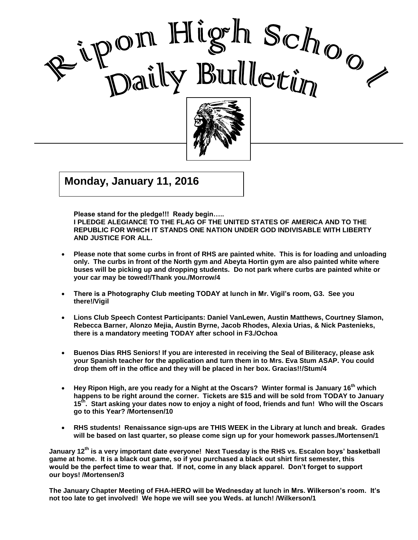



Good Care and Care and Care and Care and Care and Care and Care and Care and Care and Care and Care and Care a<br>Contract of Care and Care and Care and Care and Care and Care and Care and Care and Care and Care and Care and

I

 $J^{(1)}$   $\sim$   $\sim$   $\sim$   $\sim$ **Monday, January 11, 2016**

**Please stand for the pledge!!! Ready begin…..** 

**I PLEDGE ALEGIANCE TO THE FLAG OF THE UNITED STATES OF AMERICA AND TO THE REPUBLIC FOR WHICH IT STANDS ONE NATION UNDER GOD INDIVISABLE WITH LIBERTY AND JUSTICE FOR ALL.**

- **Please note that some curbs in front of RHS are painted white. This is for loading and unloading only. The curbs in front of the North gym and Abeyta Hortin gym are also painted white where buses will be picking up and dropping students. Do not park where curbs are painted white or your car may be towed!/Thank you./Morrow/4**
- **There is a Photography Club meeting TODAY at lunch in Mr. Vigil's room, G3. See you there!/Vigil**
- **Lions Club Speech Contest Participants: Daniel VanLewen, Austin Matthews, Courtney Slamon, Rebecca Barner, Alonzo Mejia, Austin Byrne, Jacob Rhodes, Alexia Urias, & Nick Pastenieks, there is a mandatory meeting TODAY after school in F3./Ochoa**
- **Buenos Dias RHS Seniors! If you are interested in receiving the Seal of Biliteracy, please ask your Spanish teacher for the application and turn them in to Mrs. Eva Stum ASAP. You could drop them off in the office and they will be placed in her box. Gracias!!/Stum/4**
- **Hey Ripon High, are you ready for a Night at the Oscars? Winter formal is January 16 th which happens to be right around the corner. Tickets are \$15 and will be sold from TODAY to January 15 th . Start asking your dates now to enjoy a night of food, friends and fun! Who will the Oscars go to this Year? /Mortensen/10**
- **RHS students! Renaissance sign-ups are THIS WEEK in the Library at lunch and break. Grades will be based on last quarter, so please come sign up for your homework passes./Mortensen/1**

**January 12th is a very important date everyone! Next Tuesday is the RHS vs. Escalon boys' basketball game at home. It is a black out game, so if you purchased a black out shirt first semester, this would be the perfect time to wear that. If not, come in any black apparel. Don't forget to support our boys! /Mortensen/3**

**The January Chapter Meeting of FHA-HERO will be Wednesday at lunch in Mrs. Wilkerson's room. It's not too late to get involved! We hope we will see you Weds. at lunch! /Wilkerson/1**